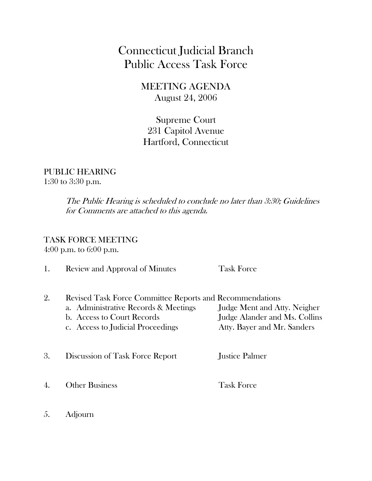## Connecticut Judicial Branch Public Access Task Force

MEETING AGENDA August 24, 2006

Supreme Court 231 Capitol Avenue Hartford, Connecticut

## PUBLIC HEARING 1:30 to 3:30 p.m.

The Public Hearing is scheduled to conclude no later than 3:30; Guidelines for Comments are attached to this agenda.

## TASK FORCE MEETING

4:00 p.m. to 6:00 p.m.

| 1. | Review and Approval of Minutes                                                                                                                                             | <b>Task Force</b>                                                                            |
|----|----------------------------------------------------------------------------------------------------------------------------------------------------------------------------|----------------------------------------------------------------------------------------------|
| 2. | <b>Revised Task Force Committee Reports and Recommendations</b><br>a. Administrative Records & Meetings<br>b. Access to Court Records<br>c. Access to Judicial Proceedings | Judge Ment and Atty. Neigher<br>Judge Alander and Ms. Collins<br>Atty. Bayer and Mr. Sanders |
| 3. | Discussion of Task Force Report                                                                                                                                            | Justice Palmer                                                                               |
|    | <b>Other Business</b>                                                                                                                                                      | <b>Task Force</b>                                                                            |
|    |                                                                                                                                                                            |                                                                                              |

5. Adjourn